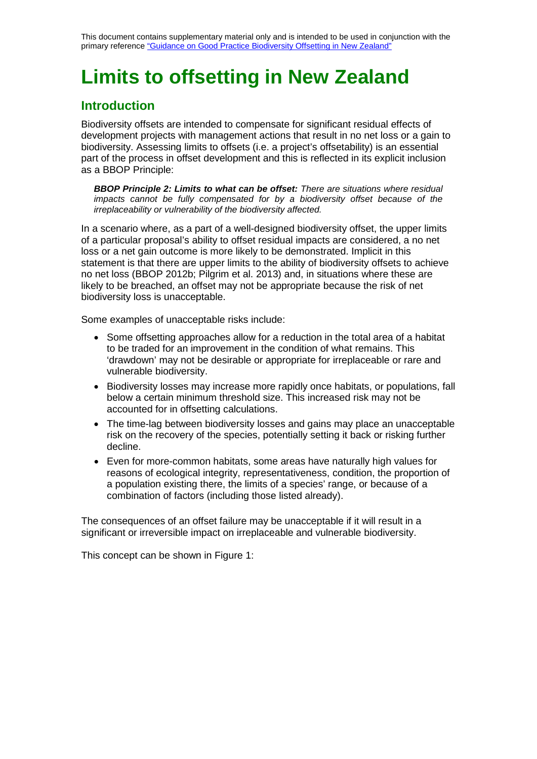## **Limits to offsetting in New Zealand**

## **Introduction**

Biodiversity offsets are intended to compensate for significant residual effects of development projects with management actions that result in no net loss or a gain to biodiversity. Assessing limits to offsets (i.e. a project's offsetability) is an essential part of the process in offset development and this is reflected in its explicit inclusion as a BBOP Principle:

*BBOP Principle 2: Limits to what can be offset: There are situations where residual impacts cannot be fully compensated for by a biodiversity offset because of the irreplaceability or vulnerability of the biodiversity affected.*

In a scenario where, as a part of a well-designed biodiversity offset, the upper limits of a particular proposal's ability to offset residual impacts are considered, a no net loss or a net gain outcome is more likely to be demonstrated. Implicit in this statement is that there are upper limits to the ability of biodiversity offsets to achieve no net loss (BBOP 2012b; Pilgrim et al. 2013) and, in situations where these are likely to be breached, an offset may not be appropriate because the risk of net biodiversity loss is unacceptable.

Some examples of unacceptable risks include:

- Some offsetting approaches allow for a reduction in the total area of a habitat to be traded for an improvement in the condition of what remains. This 'drawdown' may not be desirable or appropriate for irreplaceable or rare and vulnerable biodiversity.
- Biodiversity losses may increase more rapidly once habitats, or populations, fall below a certain minimum threshold size. This increased risk may not be accounted for in offsetting calculations.
- The time-lag between biodiversity losses and gains may place an unacceptable risk on the recovery of the species, potentially setting it back or risking further decline.
- Even for more-common habitats, some areas have naturally high values for reasons of ecological integrity, representativeness, condition, the proportion of a population existing there, the limits of a species' range, or because of a combination of factors (including those listed already).

The consequences of an offset failure may be unacceptable if it will result in a significant or irreversible impact on irreplaceable and vulnerable biodiversity.

This concept can be shown in Figure 1: